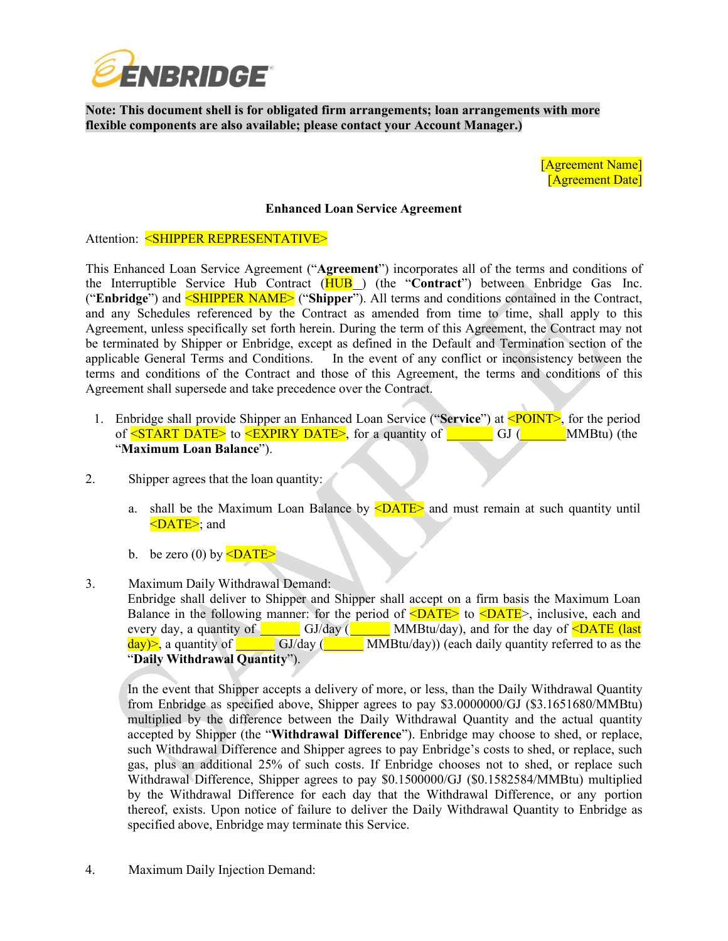

**Note: This document shell is for obligated firm arrangements; loan arrangements with more flexible components are also available; please contact your Account Manager.)**

> [Agreement Name] [Agreement Date]

## **Enhanced Loan Service Agreement**

Attention: <SHIPPER REPRESENTATIVE>

This Enhanced Loan Service Agreement ("**Agreement**") incorporates all of the terms and conditions of the Interruptible Service Hub Contract (HUB ) (the "**Contract**") between Enbridge Gas Inc. ("**Enbridge**") and <SHIPPER NAME> ("**Shipper**"). All terms and conditions contained in the Contract, and any Schedules referenced by the Contract as amended from time to time, shall apply to this Agreement, unless specifically set forth herein. During the term of this Agreement, the Contract may not be terminated by Shipper or Enbridge, except as defined in the Default and Termination section of the applicable General Terms and Conditions. In the event of any conflict or inconsistency between the terms and conditions of the Contract and those of this Agreement, the terms and conditions of this Agreement shall supersede and take precedence over the Contract.

- 1. Enbridge shall provide Shipper an Enhanced Loan Service ("**Service**") at <POINT>, for the period of  $\leq$ START DATE> to  $\leq$ EXPIRY DATE>, for a quantity of  $\qquad \qquad$  GJ ( $\qquad \qquad$ "**Maximum Loan Balance**").  $-MM$ Btu) (the
- 2. Shipper agrees that the loan quantity:
	- a. shall be the Maximum Loan Balance by  $\langle$ DATE $\rangle$  and must remain at such quantity until <DATE>; and
	- b. be zero (0) by  $\leq$ DATE $>$
- 3. Maximum Daily Withdrawal Demand: Enbridge shall deliver to Shipper and Shipper shall accept on a firm basis the Maximum Loan Balance in the following manner: for the period of  $\langle$ DATE> to  $\langle$ DATE>, inclusive, each and every day, a quantity of <u>County Cole and Colle</u> and Municipal Associates and for the day of **<DATE** (last  $day$ )>, a quantity of GJ/day (**WALDREGAU)** (each daily quantity referred to as the "**Daily Withdrawal Quantity**").

In the event that Shipper accepts a delivery of more, or less, than the Daily Withdrawal Quantity from Enbridge as specified above, Shipper agrees to pay \$3.0000000/GJ (\$3.1651680/MMBtu) multiplied by the difference between the Daily Withdrawal Quantity and the actual quantity accepted by Shipper (the "**Withdrawal Difference**"). Enbridge may choose to shed, or replace, such Withdrawal Difference and Shipper agrees to pay Enbridge's costs to shed, or replace, such gas, plus an additional 25% of such costs. If Enbridge chooses not to shed, or replace such Withdrawal Difference, Shipper agrees to pay \$0.1500000/GJ (\$0.1582584/MMBtu) multiplied by the Withdrawal Difference for each day that the Withdrawal Difference, or any portion thereof, exists. Upon notice of failure to deliver the Daily Withdrawal Quantity to Enbridge as specified above, Enbridge may terminate this Service.

4. Maximum Daily Injection Demand: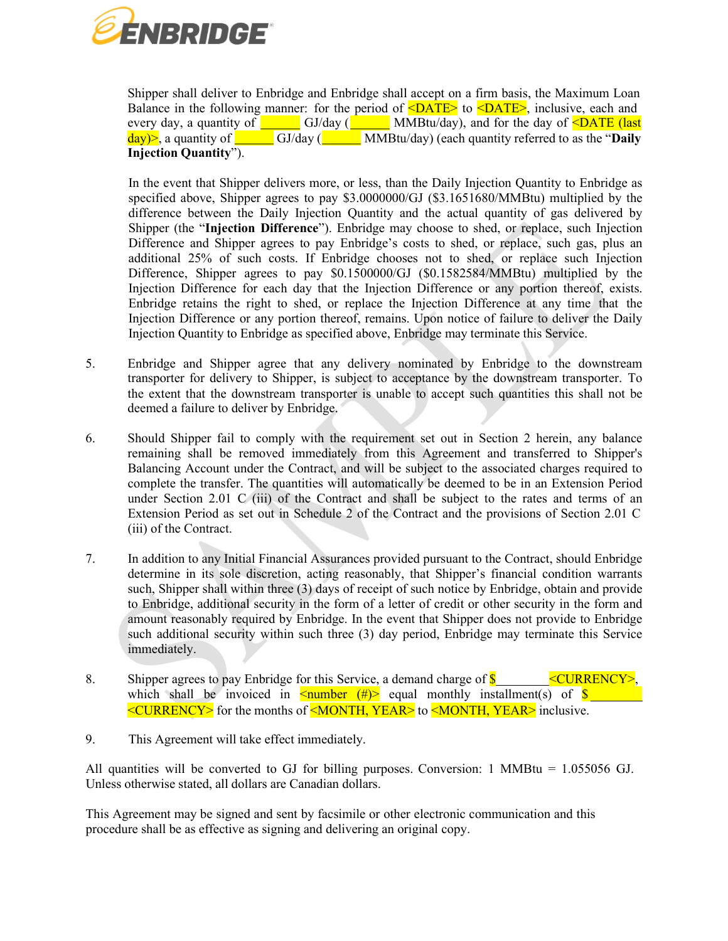

Shipper shall deliver to Enbridge and Enbridge shall accept on a firm basis, the Maximum Loan Balance in the following manner: for the period of  $\langle$ DATE $\rangle$  to  $\langle$ DATE $\rangle$ , inclusive, each and every day, a quantity of <u>County Cole Cole and Marticle</u> MMBtu/day), and for the day of **<DATE** (last  $\frac{day}{ }$ , a quantity of **Injection Quantity**").  $\frac{GJ/day}{g}$ MMBtu/day) (each quantity referred to as the "**Daily**

In the event that Shipper delivers more, or less, than the Daily Injection Quantity to Enbridge as specified above, Shipper agrees to pay \$3.0000000/GJ (\$3.1651680/MMBtu) multiplied by the difference between the Daily Injection Quantity and the actual quantity of gas delivered by Shipper (the "**Injection Difference**"). Enbridge may choose to shed, or replace, such Injection Difference and Shipper agrees to pay Enbridge's costs to shed, or replace, such gas, plus an additional 25% of such costs. If Enbridge chooses not to shed, or replace such Injection Difference, Shipper agrees to pay \$0.1500000/GJ (\$0.1582584/MMBtu) multiplied by the Injection Difference for each day that the Injection Difference or any portion thereof, exists. Enbridge retains the right to shed, or replace the Injection Difference at any time that the Injection Difference or any portion thereof, remains. Upon notice of failure to deliver the Daily Injection Quantity to Enbridge as specified above, Enbridge may terminate this Service.

- 5. Enbridge and Shipper agree that any delivery nominated by Enbridge to the downstream transporter for delivery to Shipper, is subject to acceptance by the downstream transporter. To the extent that the downstream transporter is unable to accept such quantities this shall not be deemed a failure to deliver by Enbridge.
- 6. Should Shipper fail to comply with the requirement set out in Section 2 herein, any balance remaining shall be removed immediately from this Agreement and transferred to Shipper's Balancing Account under the Contract, and will be subject to the associated charges required to complete the transfer. The quantities will automatically be deemed to be in an Extension Period under Section 2.01 C (iii) of the Contract and shall be subject to the rates and terms of an Extension Period as set out in Schedule 2 of the Contract and the provisions of Section 2.01 C (iii) of the Contract.
- 7. In addition to any Initial Financial Assurances provided pursuant to the Contract, should Enbridge determine in its sole discretion, acting reasonably, that Shipper's financial condition warrants such, Shipper shall within three (3) days of receipt of such notice by Enbridge, obtain and provide to Enbridge, additional security in the form of a letter of credit or other security in the form and amount reasonably required by Enbridge. In the event that Shipper does not provide to Enbridge such additional security within such three (3) day period, Enbridge may terminate this Service immediately.
- 8. Shipper agrees to pay Enbridge for this Service, a demand charge of  $\frac{\text{S}}{\text{S}}$  <CURRENCY>, which shall be invoiced in  $\leq$ number (#)> equal monthly installment(s) of  $\frac{\ }{8}$ <CURRENCY> for the months of <MONTH, YEAR> to <MONTH, YEAR> inclusive.
- 9. This Agreement will take effect immediately.

All quantities will be converted to GJ for billing purposes. Conversion: 1 MMBtu = 1.055056 GJ. Unless otherwise stated, all dollars are Canadian dollars.

This Agreement may be signed and sent by facsimile or other electronic communication and this procedure shall be as effective as signing and delivering an original copy.